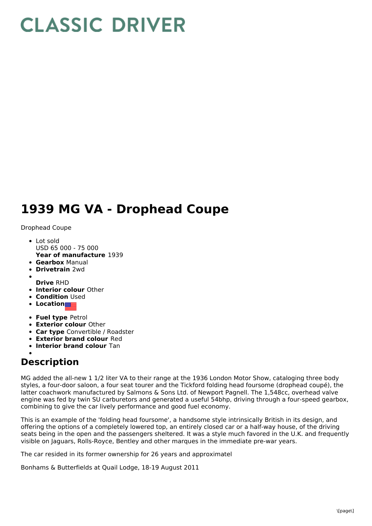## **CLASSIC DRIVER**

## **1939 MG VA - Drophead Coupe**

Drophead Coupe

- **Year of manufacture** 1939 Lot sold USD 65 000 - 75 000
- **Gearbox** Manual
- **Drivetrain** 2wd
- **Drive** RHD
- **Interior colour** Other
- **Condition** Used
- **Location**
- **Fuel type** Petrol
- **Exterior colour** Other
- **Car type** Convertible / Roadster
- **Exterior brand colour** Red
- **Interior brand colour** Tan

## **Description**

MG added the all-new 1 1/2 liter VA to their range at the 1936 London Motor Show, cataloging three body styles, a four-door saloon, a four seat tourer and the Tickford folding head foursome (drophead coupé), the latter coachwork manufactured by Salmons & Sons Ltd. of Newport Pagnell. The 1,548cc, overhead valve engine was fed by twin SU carburetors and generated a useful 54bhp, driving through a four-speed gearbox, combining to give the car lively performance and good fuel economy.

This is an example of the 'folding head foursome', a handsome style intrinsically British in its design, and offering the options of a completely lowered top, an entirely closed car or a half-way house, of the driving seats being in the open and the passengers sheltered. It was a style much favored in the U.K. and frequently visible on Jaguars, Rolls-Royce, Bentley and other marques in the immediate pre-war years.

The car resided in its former ownership for 26 years and approximatel

Bonhams & Butterfields at Quail Lodge, 18-19 August 2011